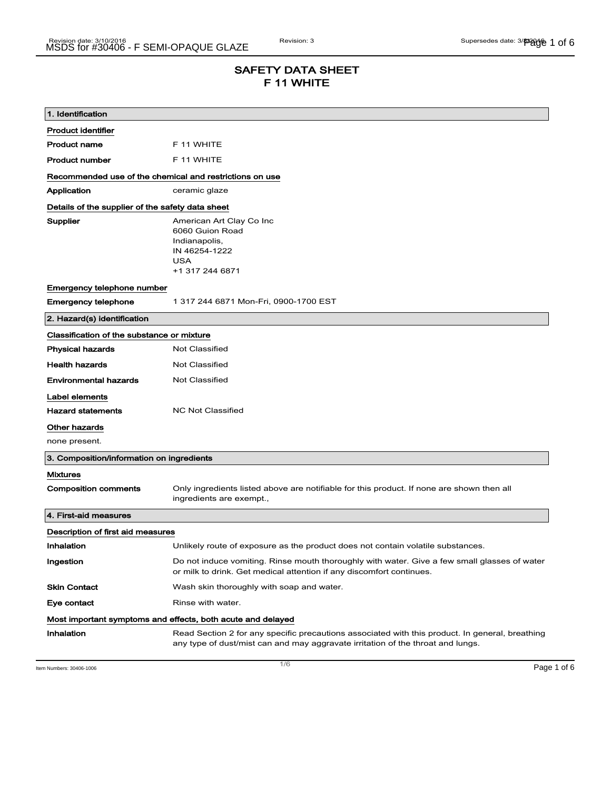# SAFETY DATA SHEET F 11 WHITE

| 1. Identification                                           |                                                                                                                                                                                    |  |
|-------------------------------------------------------------|------------------------------------------------------------------------------------------------------------------------------------------------------------------------------------|--|
| <b>Product identifier</b>                                   |                                                                                                                                                                                    |  |
| <b>Product name</b>                                         | F 11 WHITE                                                                                                                                                                         |  |
| <b>Product number</b>                                       | F 11 WHITE                                                                                                                                                                         |  |
| Recommended use of the chemical and restrictions on use     |                                                                                                                                                                                    |  |
| Application                                                 | ceramic glaze                                                                                                                                                                      |  |
| Details of the supplier of the safety data sheet            |                                                                                                                                                                                    |  |
| Supplier                                                    | American Art Clay Co Inc<br>6060 Guion Road<br>Indianapolis,<br>IN 46254-1222<br><b>USA</b><br>+1 317 244 6871                                                                     |  |
| Emergency telephone number                                  |                                                                                                                                                                                    |  |
| <b>Emergency telephone</b>                                  | 1 317 244 6871 Mon-Fri, 0900-1700 EST                                                                                                                                              |  |
| 2. Hazard(s) identification                                 |                                                                                                                                                                                    |  |
| Classification of the substance or mixture                  |                                                                                                                                                                                    |  |
| <b>Physical hazards</b>                                     | <b>Not Classified</b>                                                                                                                                                              |  |
| <b>Health hazards</b>                                       | Not Classified                                                                                                                                                                     |  |
| <b>Environmental hazards</b>                                | <b>Not Classified</b>                                                                                                                                                              |  |
| Label elements                                              |                                                                                                                                                                                    |  |
| <b>Hazard statements</b>                                    | <b>NC Not Classified</b>                                                                                                                                                           |  |
| Other hazards                                               |                                                                                                                                                                                    |  |
| none present.                                               |                                                                                                                                                                                    |  |
| 3. Composition/information on ingredients                   |                                                                                                                                                                                    |  |
| <b>Mixtures</b>                                             |                                                                                                                                                                                    |  |
| <b>Composition comments</b>                                 | Only ingredients listed above are notifiable for this product. If none are shown then all<br>ingredients are exempt.,                                                              |  |
| 4. First-aid measures                                       |                                                                                                                                                                                    |  |
| Description of first aid measures                           |                                                                                                                                                                                    |  |
| Inhalation                                                  | Unlikely route of exposure as the product does not contain volatile substances.                                                                                                    |  |
| Ingestion                                                   | Do not induce vomiting. Rinse mouth thoroughly with water. Give a few small glasses of water<br>or milk to drink. Get medical attention if any discomfort continues.               |  |
| <b>Skin Contact</b>                                         | Wash skin thoroughly with soap and water.                                                                                                                                          |  |
| Eye contact                                                 | Rinse with water.                                                                                                                                                                  |  |
| Most important symptoms and effects, both acute and delayed |                                                                                                                                                                                    |  |
| Inhalation                                                  | Read Section 2 for any specific precautions associated with this product. In general, breathing<br>any type of dust/mist can and may aggravate irritation of the throat and lungs. |  |

Item Numbers:  $30406-1006$  Page 1 of 6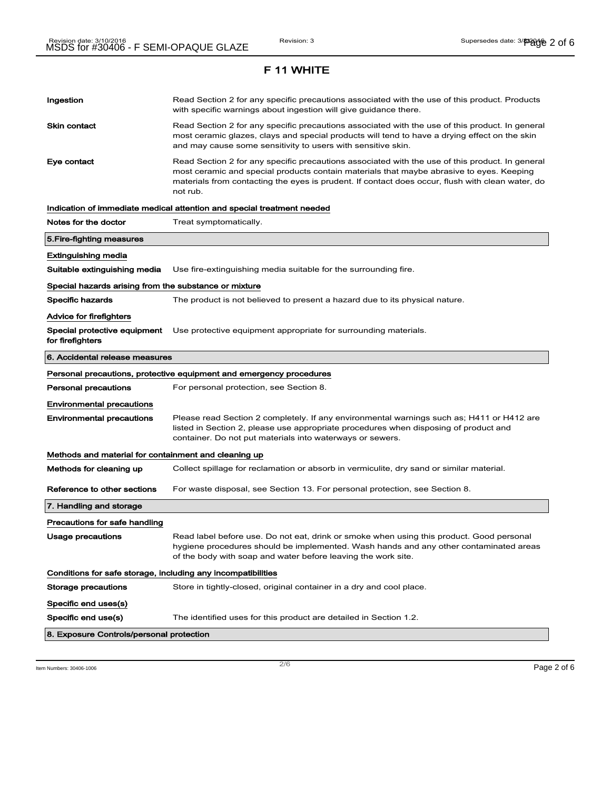# Ingestion **Read Section 2 for any specific precautions associated with the use of this product. Products** with specific warnings about ingestion will give guidance there. Skin contact **Read Section 2 for any specific precautions associated with the use of this product. In general** most ceramic glazes, clays and special products will tend to have a drying effect on the skin and may cause some sensitivity to users with sensitive skin. Eye contact **Read Section 2 for any specific precautions associated with the use of this product. In general** most ceramic and special products contain materials that maybe abrasive to eyes. Keeping materials from contacting the eyes is prudent. If contact does occur, flush with clean water, do not rub. Indication of immediate medical attention and special treatment needed Notes for the doctor Treat symptomatically. 5.Fire-fighting measures Extinguishing media Suitable extinguishing media Use fire-extinguishing media suitable for the surrounding fire. Special hazards arising from the substance or mixture Specific hazards The product is not believed to present a hazard due to its physical nature. Advice for firefighters Special protective equipment Use protective equipment appropriate for surrounding materials. for firefighters 6. Accidental release measures Personal precautions, protective equipment and emergency procedures Personal precautions For personal protection, see Section 8. Environmental precautions Environmental precautions Please read Section 2 completely. If any environmental warnings such as; H411 or H412 are listed in Section 2, please use appropriate procedures when disposing of product and container. Do not put materials into waterways or sewers. Methods and material for containment and cleaning up Methods for cleaning up Collect spillage for reclamation or absorb in vermiculite, dry sand or similar material. Reference to other sections For waste disposal, see Section 13. For personal protection, see Section 8. 7. Handling and storage Precautions for safe handling Usage precautions **Read label before use. Do not eat, drink or smoke when using this product. Good personal** hygiene procedures should be implemented. Wash hands and any other contaminated areas of the body with soap and water before leaving the work site. Conditions for safe storage, including any incompatibilities Storage precautions Store in tightly-closed, original container in a dry and cool place. Specific end uses(s) Specific end use(s) The identified uses for this product are detailed in Section 1.2. 8. Exposure Controls/personal protection

 $\overline{\phantom{a}}$ ltem Numbers: 30406-1006  $\overline{\phantom{a}}$   $\overline{\phantom{a}}$   $\overline{\phantom{a}}$   $\overline{\phantom{a}}$   $\overline{\phantom{a}}$   $\overline{\phantom{a}}$   $\overline{\phantom{a}}$   $\overline{\phantom{a}}$   $\overline{\phantom{a}}$   $\overline{\phantom{a}}$   $\overline{\phantom{a}}$   $\overline{\phantom{a}}$   $\overline{\phantom{a}}$   $\overline{\phantom{a}}$   $\overline{\phantom{a}}$   $\overline{\$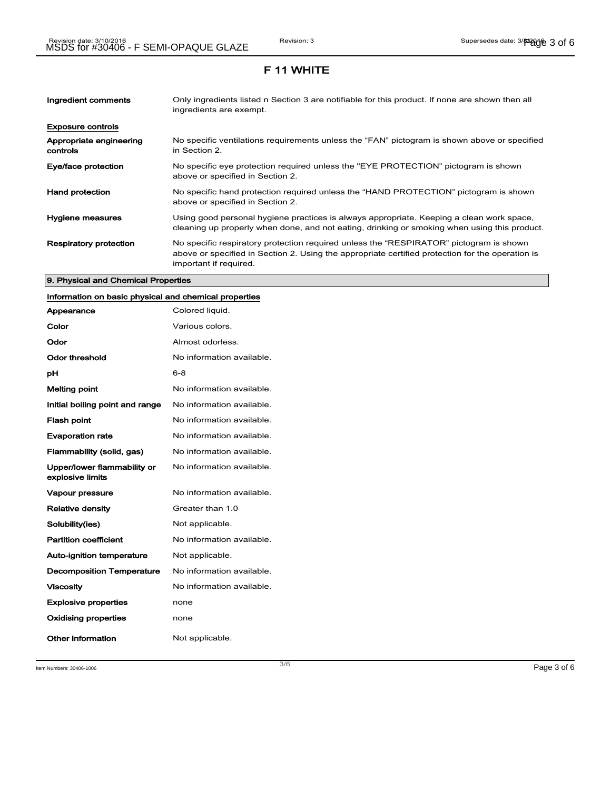| Ingredient comments                 | Only ingredients listed n Section 3 are notifiable for this product. If none are shown then all<br>ingredients are exempt.                                                                                           |
|-------------------------------------|----------------------------------------------------------------------------------------------------------------------------------------------------------------------------------------------------------------------|
| <b>Exposure controls</b>            |                                                                                                                                                                                                                      |
| Appropriate engineering<br>controls | No specific ventilations requirements unless the "FAN" pictogram is shown above or specified<br>in Section 2.                                                                                                        |
| Eye/face protection                 | No specific eye protection required unless the "EYE PROTECTION" pictogram is shown<br>above or specified in Section 2.                                                                                               |
| <b>Hand protection</b>              | No specific hand protection required unless the "HAND PROTECTION" pictogram is shown<br>above or specified in Section 2.                                                                                             |
| Hygiene measures                    | Using good personal hygiene practices is always appropriate. Keeping a clean work space,<br>cleaning up properly when done, and not eating, drinking or smoking when using this product.                             |
| <b>Respiratory protection</b>       | No specific respiratory protection required unless the "RESPIRATOR" pictogram is shown<br>above or specified in Section 2. Using the appropriate certified protection for the operation is<br>important if required. |

#### 9. Physical and Chemical Properties

# Information on basic physical and chemical properties

| Appearance                                      | Colored liquid.           |
|-------------------------------------------------|---------------------------|
| Color                                           | Various colors.           |
| Odor                                            | Almost odorless.          |
| Odor threshold                                  | No information available. |
| рH                                              | $6 - 8$                   |
| <b>Melting point</b>                            | No information available. |
| Initial boiling point and range                 | No information available. |
| <b>Flash point</b>                              | No information available. |
| <b>Evaporation rate</b>                         | No information available. |
| Flammability (solid, gas)                       | No information available. |
| Upper/lower flammability or<br>explosive limits | No information available. |
| <b>Vapour pressure</b>                          | No information available. |
| <b>Relative density</b>                         | Greater than 1.0          |
| Solubility(ies)                                 | Not applicable.           |
| <b>Partition coefficient</b>                    | No information available. |
| Auto-ignition temperature                       | Not applicable.           |
| <b>Decomposition Temperature</b>                | No information available. |
| <b>Viscosity</b>                                | No information available. |
| <b>Explosive properties</b>                     | none                      |
| <b>Oxidising properties</b>                     | none                      |
| Other information                               | Not applicable.           |

Item Numbers:  $30406-1006$  Page 3 of 6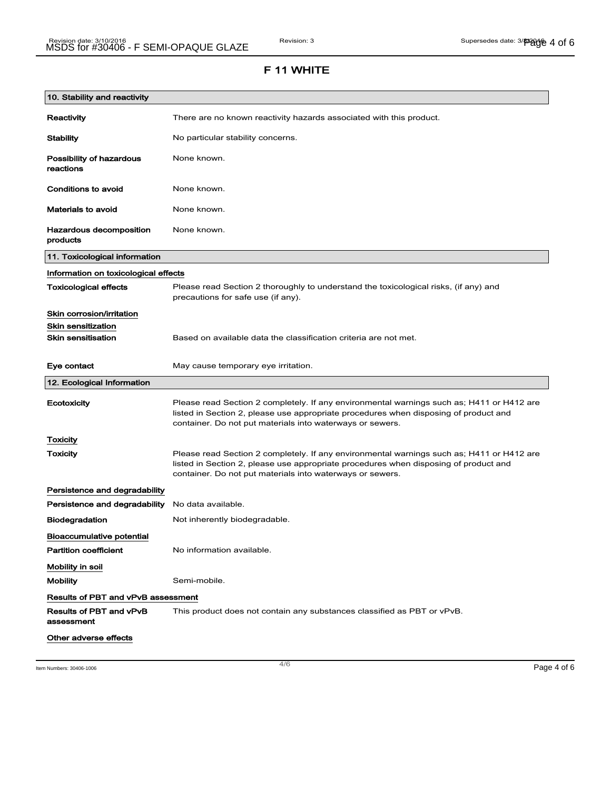| 10. Stability and reactivity               |                                                                                                                                                                                                                                                |
|--------------------------------------------|------------------------------------------------------------------------------------------------------------------------------------------------------------------------------------------------------------------------------------------------|
| Reactivity                                 | There are no known reactivity hazards associated with this product.                                                                                                                                                                            |
| <b>Stability</b>                           | No particular stability concerns.                                                                                                                                                                                                              |
| Possibility of hazardous<br>reactions      | None known.                                                                                                                                                                                                                                    |
| <b>Conditions to avoid</b>                 | None known.                                                                                                                                                                                                                                    |
| <b>Materials to avoid</b>                  | None known.                                                                                                                                                                                                                                    |
| <b>Hazardous decomposition</b><br>products | None known.                                                                                                                                                                                                                                    |
| 11. Toxicological information              |                                                                                                                                                                                                                                                |
| Information on toxicological effects       |                                                                                                                                                                                                                                                |
| <b>Toxicological effects</b>               | Please read Section 2 thoroughly to understand the toxicological risks, (if any) and<br>precautions for safe use (if any).                                                                                                                     |
| Skin corrosion/irritation                  |                                                                                                                                                                                                                                                |
| <b>Skin sensitization</b>                  |                                                                                                                                                                                                                                                |
| <b>Skin sensitisation</b>                  | Based on available data the classification criteria are not met.                                                                                                                                                                               |
| Eye contact                                | May cause temporary eye irritation.                                                                                                                                                                                                            |
| 12. Ecological Information                 |                                                                                                                                                                                                                                                |
| Ecotoxicity                                | Please read Section 2 completely. If any environmental warnings such as; H411 or H412 are<br>listed in Section 2, please use appropriate procedures when disposing of product and<br>container. Do not put materials into waterways or sewers. |
| <b>Toxicity</b>                            |                                                                                                                                                                                                                                                |
| Toxicity                                   | Please read Section 2 completely. If any environmental warnings such as; H411 or H412 are<br>listed in Section 2, please use appropriate procedures when disposing of product and<br>container. Do not put materials into waterways or sewers. |
| Persistence and degradability              |                                                                                                                                                                                                                                                |
| Persistence and degradability              | No data available.                                                                                                                                                                                                                             |
| <b>Biodegradation</b>                      | Not inherently biodegradable.                                                                                                                                                                                                                  |
| Bioaccumulative potential                  |                                                                                                                                                                                                                                                |
| <b>Partition coefficient</b>               | No information available.                                                                                                                                                                                                                      |
| Mobility in soil                           |                                                                                                                                                                                                                                                |
| <b>Mobility</b>                            | Semi-mobile.                                                                                                                                                                                                                                   |
| Results of PBT and vPvB assessment         |                                                                                                                                                                                                                                                |
| Results of PBT and vPvB<br>assessment      | This product does not contain any substances classified as PBT or vPvB.                                                                                                                                                                        |
| Other adverse effects                      |                                                                                                                                                                                                                                                |

Item Numbers:  $30406-1006$   $906-1006$   $906-1006$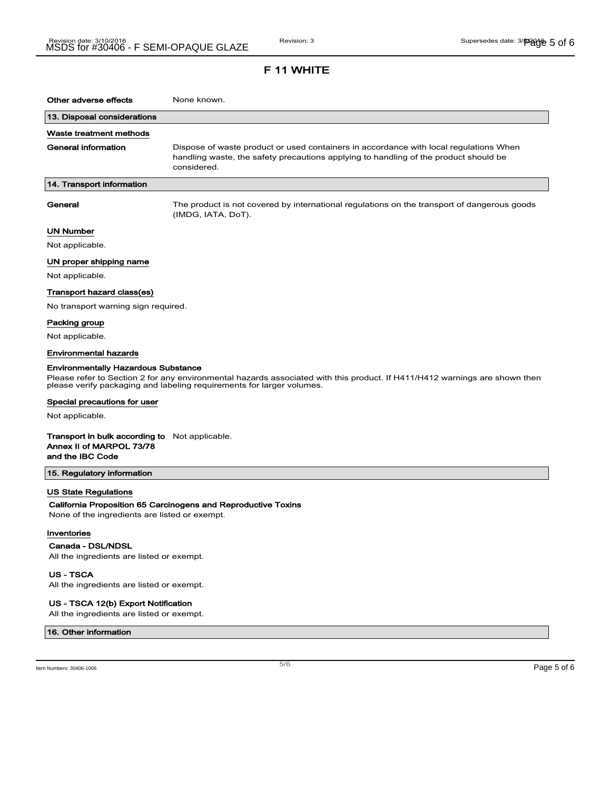| Other adverse effects                                                                                            | None known.                                                                                                                                                                                         |
|------------------------------------------------------------------------------------------------------------------|-----------------------------------------------------------------------------------------------------------------------------------------------------------------------------------------------------|
| 13. Disposal considerations                                                                                      |                                                                                                                                                                                                     |
| Waste treatment methods                                                                                          |                                                                                                                                                                                                     |
| General information                                                                                              | Dispose of waste product or used containers in accordance with local regulations When<br>handling waste, the safety precautions applying to handling of the product should be<br>considered.        |
| 14. Transport information                                                                                        |                                                                                                                                                                                                     |
| General                                                                                                          | The product is not covered by international regulations on the transport of dangerous goods<br>(IMDG, IATA, DoT).                                                                                   |
| <b>UN Number</b>                                                                                                 |                                                                                                                                                                                                     |
| Not applicable.                                                                                                  |                                                                                                                                                                                                     |
| UN proper shipping name                                                                                          |                                                                                                                                                                                                     |
| Not applicable.                                                                                                  |                                                                                                                                                                                                     |
| Transport hazard class(es)                                                                                       |                                                                                                                                                                                                     |
| No transport warning sign required.                                                                              |                                                                                                                                                                                                     |
| Packing group                                                                                                    |                                                                                                                                                                                                     |
| Not applicable.                                                                                                  |                                                                                                                                                                                                     |
| <b>Environmental hazards</b>                                                                                     |                                                                                                                                                                                                     |
| <b>Environmentally Hazardous Substance</b>                                                                       | Please refer to Section 2 for any environmental hazards associated with this product. If H411/H412 warnings are shown then<br>please verify packaging and labeling requirements for larger volumes. |
| Special precautions for user                                                                                     |                                                                                                                                                                                                     |
| Not applicable.                                                                                                  |                                                                                                                                                                                                     |
| <b>Transport in bulk according to</b> Not applicable.<br>Annex II of MARPOL 73/78<br>and the IBC Code            |                                                                                                                                                                                                     |
| 15. Regulatory information                                                                                       |                                                                                                                                                                                                     |
| <b>US State Regulations</b><br>None of the ingredients are listed or exempt.<br>Inventories<br>Canada - DSL/NDSL | California Proposition 65 Carcinogens and Reproductive Toxins                                                                                                                                       |
| All the ingredients are listed or exempt.                                                                        |                                                                                                                                                                                                     |

US - TSCA

All the ingredients are listed or exempt.

#### US - TSCA 12(b) Export Notification

All the ingredients are listed or exempt.

#### 16. Other information